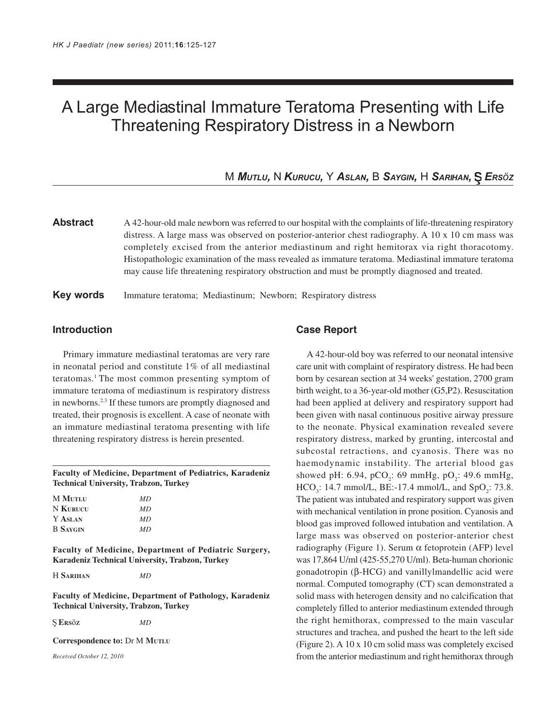# A Large Mediastinal Immature Teratoma Presenting with Life Threatening Respiratory Distress in a Newborn

M *MUTLU,* N *KURUCU,* Y *ASLAN,* B *SAYGIN,* H *SARIHAN, ERSöZ*

**Abstract** A 42-hour-old male newborn was referred to our hospital with the complaints of life-threatening respiratory distress. A large mass was observed on posterior-anterior chest radiography. A 10 x 10 cm mass was completely excised from the anterior mediastinum and right hemitorax via right thoracotomy. Histopathologic examination of the mass revealed as immature teratoma. Mediastinal immature teratoma may cause life threatening respiratory obstruction and must be promptly diagnosed and treated.

## **Key words** Immature teratoma; Mediastinum; Newborn; Respiratory distress

## **Introduction**

Primary immature mediastinal teratomas are very rare in neonatal period and constitute 1% of all mediastinal teratomas.1 The most common presenting symptom of immature teratoma of mediastinum is respiratory distress in newborns.<sup>2,3</sup> If these tumors are promptly diagnosed and treated, their prognosis is excellent. A case of neonate with an immature mediastinal teratoma presenting with life threatening respiratory distress is herein presented.

#### **Faculty of Medicine, Department of Pediatrics, Karadeniz Technical University, Trabzon, Turkey**

| <b>M MUTLU</b>  | MD |
|-----------------|----|
| N KURUCU        | MD |
| Y ASLAN         | MD |
| <b>B</b> SAYGIN | MD |

**Faculty of Medicine, Department of Pediatric Surgery, Karadeniz Technical University, Trabzon, Turkey**

H **SARIHAN** *MD*

**Faculty of Medicine, Department of Pathology, Karadeniz Technical University, Trabzon, Turkey**

**ERS**ö**<sup>Z</sup>** *MD*

**Correspondence to:** Dr M **MUTLU**

*Received October 12, 2010*

### **Case Report**

A 42-hour-old boy was referred to our neonatal intensive care unit with complaint of respiratory distress. He had been born by cesarean section at 34 weeks' gestation, 2700 gram birth weight, to a 36-year-old mother (G5,P2). Resuscitation had been applied at delivery and respiratory support had been given with nasal continuous positive airway pressure to the neonate. Physical examination revealed severe respiratory distress, marked by grunting, intercostal and subcostal retractions, and cyanosis. There was no haemodynamic instability. The arterial blood gas showed pH: 6.94, pCO<sub>2</sub>: 69 mmHg, pO<sub>2</sub>: 49.6 mmHg,  $HCO_3$ : 14.7 mmol/L, BE:-17.4 mmol/L, and SpO<sub>2</sub>: 73.8. The patient was intubated and respiratory support was given with mechanical ventilation in prone position. Cyanosis and blood gas improved followed intubation and ventilation. A large mass was observed on posterior-anterior chest radiography (Figure 1). Serum α fetoprotein (AFP) level was 17,864 U/ml (425-55,270 U/ml). Beta-human chorionic gonadotropin (β-HCG) and vanillylmandellic acid were normal. Computed tomography (CT) scan demonstrated a solid mass with heterogen density and no calcification that completely filled to anterior mediastinum extended through the right hemithorax, compressed to the main vascular structures and trachea, and pushed the heart to the left side (Figure 2). A 10 x 10 cm solid mass was completely excised from the anterior mediastinum and right hemithorax through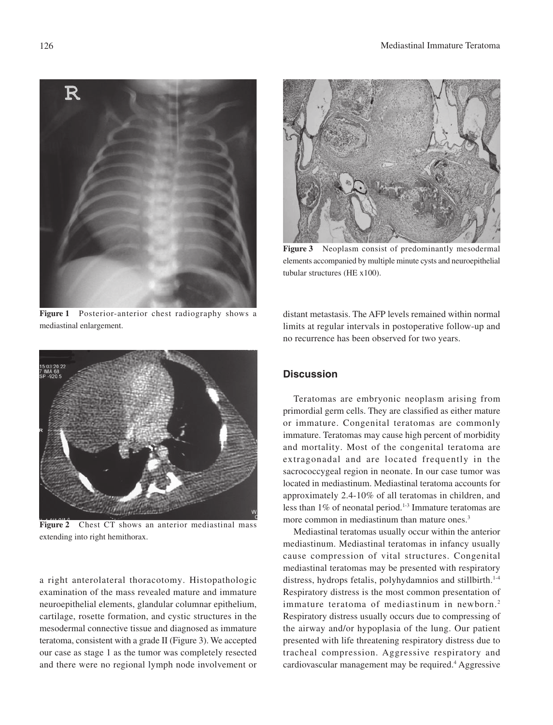

**Figure 1** Posterior-anterior chest radiography shows a mediastinal enlargement.



**Figure 3** Neoplasm consist of predominantly mesodermal elements accompanied by multiple minute cysts and neuroepithelial tubular structures (HE x100).

distant metastasis. The AFP levels remained within normal limits at regular intervals in postoperative follow-up and no recurrence has been observed for two years.



**Figure 2** Chest CT shows an anterior mediastinal mass extending into right hemithorax.

a right anterolateral thoracotomy. Histopathologic examination of the mass revealed mature and immature neuroepithelial elements, glandular columnar epithelium, cartilage, rosette formation, and cystic structures in the mesodermal connective tissue and diagnosed as immature teratoma, consistent with a grade II (Figure 3). We accepted our case as stage 1 as the tumor was completely resected and there were no regional lymph node involvement or

# **Discussion**

Teratomas are embryonic neoplasm arising from primordial germ cells. They are classified as either mature or immature. Congenital teratomas are commonly immature. Teratomas may cause high percent of morbidity and mortality. Most of the congenital teratoma are extragonadal and are located frequently in the sacrococcygeal region in neonate. In our case tumor was located in mediastinum. Mediastinal teratoma accounts for approximately 2.4-10% of all teratomas in children, and less than 1% of neonatal period.<sup>1-3</sup> Immature teratomas are more common in mediastinum than mature ones.<sup>3</sup>

Mediastinal teratomas usually occur within the anterior mediastinum. Mediastinal teratomas in infancy usually cause compression of vital structures. Congenital mediastinal teratomas may be presented with respiratory distress, hydrops fetalis, polyhydamnios and stillbirth.<sup>1-4</sup> Respiratory distress is the most common presentation of immature teratoma of mediastinum in newborn.<sup>2</sup> Respiratory distress usually occurs due to compressing of the airway and/or hypoplasia of the lung. Our patient presented with life threatening respiratory distress due to tracheal compression. Aggressive respiratory and cardiovascular management may be required.4 Aggressive